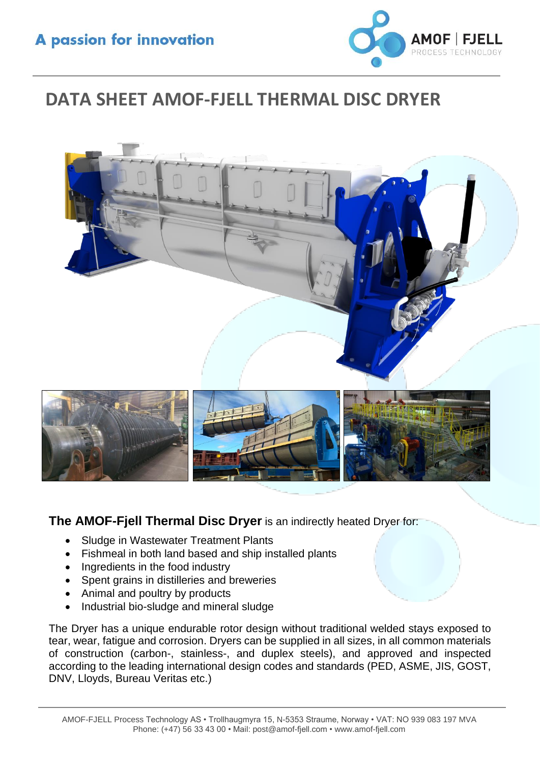

# **DATA SHEET AMOF-FJELL THERMAL DISC DRYER**



**The AMOF-Fjell Thermal Disc Dryer** is an indirectly heated Dryer for:

- Sludge in Wastewater Treatment Plants
- Fishmeal in both land based and ship installed plants
- Ingredients in the food industry
- Spent grains in distilleries and breweries
- Animal and poultry by products
- Industrial bio-sludge and mineral sludge

The Dryer has a unique endurable rotor design without traditional welded stays exposed to tear, wear, fatigue and corrosion. Dryers can be supplied in all sizes, in all common materials of construction (carbon-, stainless-, and duplex steels), and approved and inspected according to the leading international design codes and standards (PED, ASME, JIS, GOST, DNV, Lloyds, Bureau Veritas etc.)